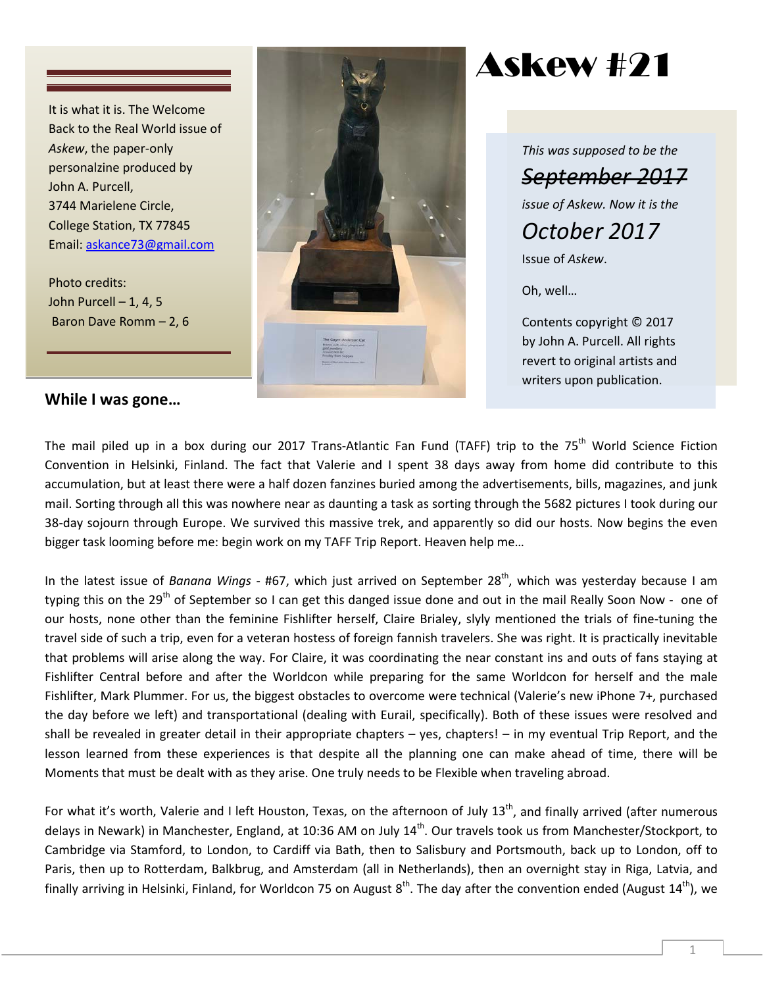It is what it is. The Welcome Back to the Real World issue of *Askew*, the paper-only personalzine produced by John A. Purcell, 3744 Marielene Circle, College Station, TX 77845 Email: [askance73@gmail.com](mailto:askance73@gmail.com)

Photo credits: John Purcell  $-1, 4, 5$ Baron Dave Romm – 2, 6

### **While I was gone…**



Askew #21

*This was supposed to be the September 2017 issue of Askew. Now it is the October 2017* 

Issue of *Askew*.

Oh, well…

Contents copyright © 2017 by John A. Purcell. All rights revert to original artists and writers upon publication.

The mail piled up in a box during our 2017 Trans-Atlantic Fan Fund (TAFF) trip to the 75<sup>th</sup> World Science Fiction Convention in Helsinki, Finland. The fact that Valerie and I spent 38 days away from home did contribute to this accumulation, but at least there were a half dozen fanzines buried among the advertisements, bills, magazines, and junk mail. Sorting through all this was nowhere near as daunting a task as sorting through the 5682 pictures I took during our 38-day sojourn through Europe. We survived this massive trek, and apparently so did our hosts. Now begins the even bigger task looming before me: begin work on my TAFF Trip Report. Heaven help me…

In the latest issue of *Banana Wings* - #67, which just arrived on September 28<sup>th</sup>, which was yesterday because I am typing this on the 29<sup>th</sup> of September so I can get this danged issue done and out in the mail Really Soon Now - one of our hosts, none other than the feminine Fishlifter herself, Claire Brialey, slyly mentioned the trials of fine-tuning the travel side of such a trip, even for a veteran hostess of foreign fannish travelers. She was right. It is practically inevitable that problems will arise along the way. For Claire, it was coordinating the near constant ins and outs of fans staying at Fishlifter Central before and after the Worldcon while preparing for the same Worldcon for herself and the male Fishlifter, Mark Plummer. For us, the biggest obstacles to overcome were technical (Valerie's new iPhone 7+, purchased the day before we left) and transportational (dealing with Eurail, specifically). Both of these issues were resolved and shall be revealed in greater detail in their appropriate chapters – yes, chapters! – in my eventual Trip Report, and the lesson learned from these experiences is that despite all the planning one can make ahead of time, there will be Moments that must be dealt with as they arise. One truly needs to be Flexible when traveling abroad.

For what it's worth, Valerie and I left Houston, Texas, on the afternoon of July  $13<sup>th</sup>$ , and finally arrived (after numerous delays in Newark) in Manchester, England, at 10:36 AM on July 14<sup>th</sup>. Our travels took us from Manchester/Stockport, to Cambridge via Stamford, to London, to Cardiff via Bath, then to Salisbury and Portsmouth, back up to London, off to Paris, then up to Rotterdam, Balkbrug, and Amsterdam (all in Netherlands), then an overnight stay in Riga, Latvia, and finally arriving in Helsinki, Finland, for Worldcon 75 on August  $8^{th}$ . The day after the convention ended (August 14<sup>th</sup>), we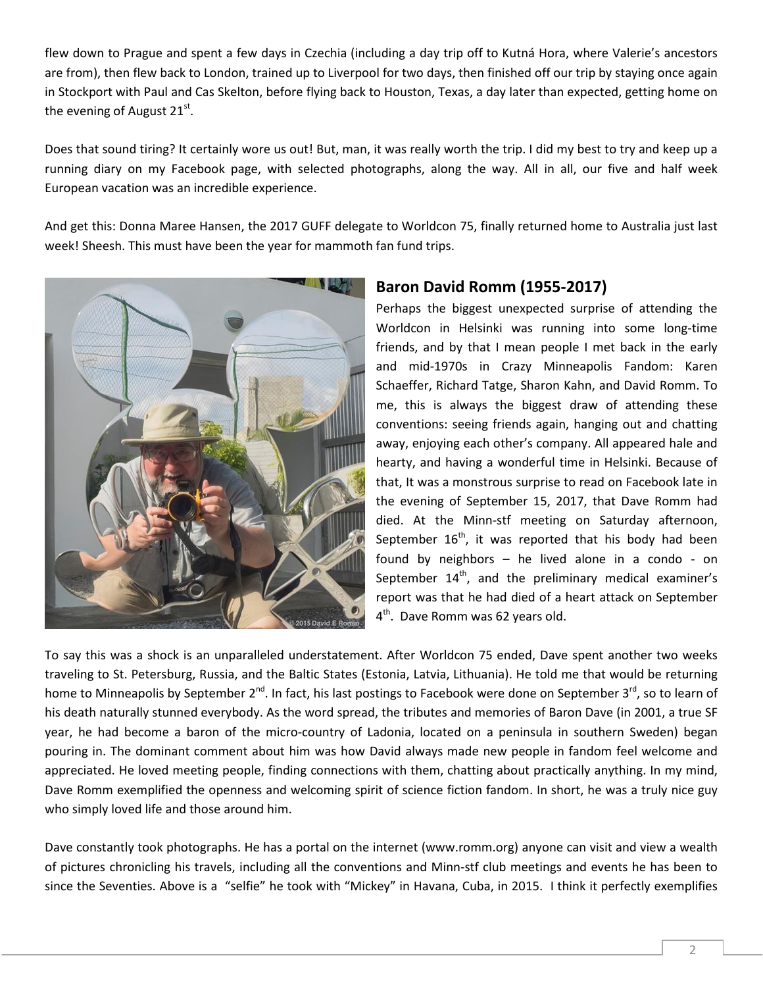flew down to Prague and spent a few days in Czechia (including a day trip off to Kutná Hora, where Valerie's ancestors are from), then flew back to London, trained up to Liverpool for two days, then finished off our trip by staying once again in Stockport with Paul and Cas Skelton, before flying back to Houston, Texas, a day later than expected, getting home on the evening of August  $21<sup>st</sup>$ .

Does that sound tiring? It certainly wore us out! But, man, it was really worth the trip. I did my best to try and keep up a running diary on my Facebook page, with selected photographs, along the way. All in all, our five and half week European vacation was an incredible experience.

And get this: Donna Maree Hansen, the 2017 GUFF delegate to Worldcon 75, finally returned home to Australia just last week! Sheesh. This must have been the year for mammoth fan fund trips.



## **Baron David Romm (1955-2017)**

Perhaps the biggest unexpected surprise of attending the Worldcon in Helsinki was running into some long-time friends, and by that I mean people I met back in the early and mid-1970s in Crazy Minneapolis Fandom: Karen Schaeffer, Richard Tatge, Sharon Kahn, and David Romm. To me, this is always the biggest draw of attending these conventions: seeing friends again, hanging out and chatting away, enjoying each other's company. All appeared hale and hearty, and having a wonderful time in Helsinki. Because of that, It was a monstrous surprise to read on Facebook late in the evening of September 15, 2017, that Dave Romm had died. At the Minn-stf meeting on Saturday afternoon, September  $16<sup>th</sup>$ , it was reported that his body had been found by neighbors – he lived alone in a condo - on September  $14<sup>th</sup>$ , and the preliminary medical examiner's report was that he had died of a heart attack on September 4<sup>th</sup>. Dave Romm was 62 years old.

To say this was a shock is an unparalleled understatement. After Worldcon 75 ended, Dave spent another two weeks traveling to St. Petersburg, Russia, and the Baltic States (Estonia, Latvia, Lithuania). He told me that would be returning home to Minneapolis by September  $2^{nd}$ . In fact, his last postings to Facebook were done on September 3<sup>rd</sup>, so to learn of his death naturally stunned everybody. As the word spread, the tributes and memories of Baron Dave (in 2001, a true SF year, he had become a baron of the micro-country of Ladonia, located on a peninsula in southern Sweden) began pouring in. The dominant comment about him was how David always made new people in fandom feel welcome and appreciated. He loved meeting people, finding connections with them, chatting about practically anything. In my mind, Dave Romm exemplified the openness and welcoming spirit of science fiction fandom. In short, he was a truly nice guy who simply loved life and those around him.

Dave constantly took photographs. He has a portal on the internet (www.romm.org) anyone can visit and view a wealth of pictures chronicling his travels, including all the conventions and Minn-stf club meetings and events he has been to since the Seventies. Above is a "selfie" he took with "Mickey" in Havana, Cuba, in 2015. I think it perfectly exemplifies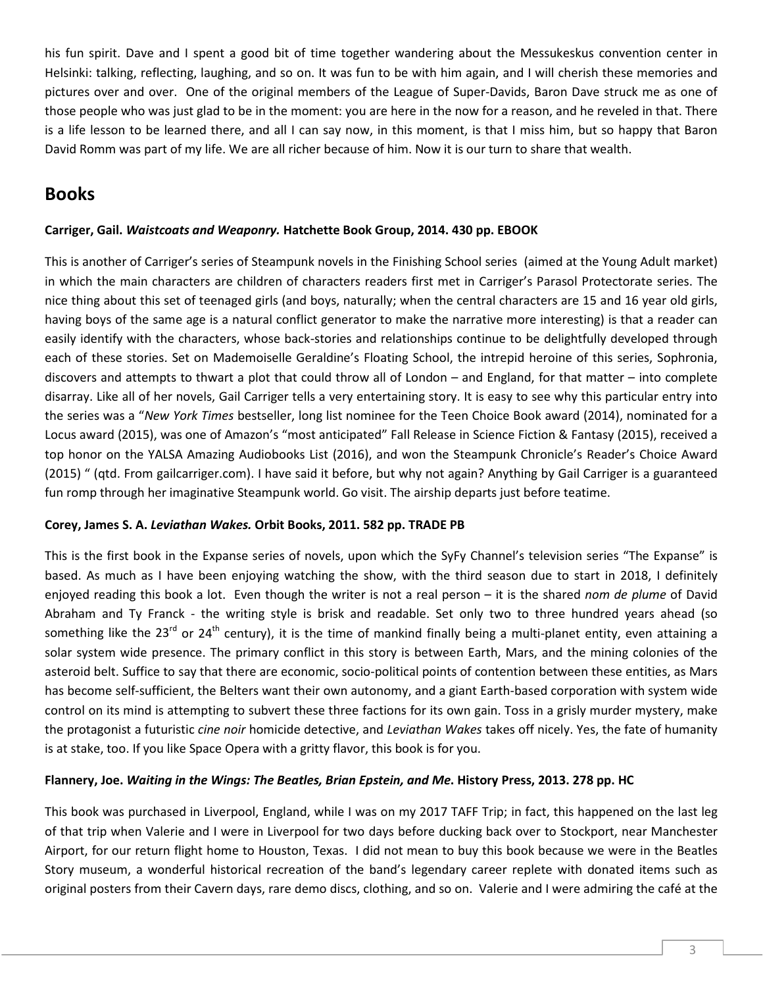his fun spirit. Dave and I spent a good bit of time together wandering about the Messukeskus convention center in Helsinki: talking, reflecting, laughing, and so on. It was fun to be with him again, and I will cherish these memories and pictures over and over. One of the original members of the League of Super-Davids, Baron Dave struck me as one of those people who was just glad to be in the moment: you are here in the now for a reason, and he reveled in that. There is a life lesson to be learned there, and all I can say now, in this moment, is that I miss him, but so happy that Baron David Romm was part of my life. We are all richer because of him. Now it is our turn to share that wealth.

## **Books**

#### **Carriger, Gail.** *Waistcoats and Weaponry.* **Hatchette Book Group, 2014. 430 pp. EBOOK**

This is another of Carriger's series of Steampunk novels in the Finishing School series (aimed at the Young Adult market) in which the main characters are children of characters readers first met in Carriger's Parasol Protectorate series. The nice thing about this set of teenaged girls (and boys, naturally; when the central characters are 15 and 16 year old girls, having boys of the same age is a natural conflict generator to make the narrative more interesting) is that a reader can easily identify with the characters, whose back-stories and relationships continue to be delightfully developed through each of these stories. Set on Mademoiselle Geraldine's Floating School, the intrepid heroine of this series, Sophronia, discovers and attempts to thwart a plot that could throw all of London – and England, for that matter – into complete disarray. Like all of her novels, Gail Carriger tells a very entertaining story. It is easy to see why this particular entry into the series was a "*New York Times* bestseller, [long list nominee for the Teen Choice Book award](http://www.teenreads.com/2014-teen-choice-book-of-the-year-nominees) (2014), nominated for a [Locus award](http://www.locusmag.com/News/2015/05/2015-locus-awards-finalists/) (2015), was one of Amazon's "most anticipated" Fall Release in Science Fiction & Fantasy (2015), received a top honor on the [YALSA Amazing Audiobooks List](http://www.ala.org/yalsa/2016-amazing-audiobooks-young-adults) (2016), and won the [Steampunk Chronicle's Reader's Choice Award](http://www.steampunkchronicle.com/SPCAwards/Winners2015/tabid/655/Default.aspx)  (2015) " (qtd. From gailcarriger.com). I have said it before, but why not again? Anything by Gail Carriger is a guaranteed fun romp through her imaginative Steampunk world. Go visit. The airship departs just before teatime.

#### **Corey, James S. A.** *Leviathan Wakes.* **Orbit Books, 2011. 582 pp. TRADE PB**

This is the first book in the Expanse series of novels, upon which the SyFy Channel's television series "The Expanse" is based. As much as I have been enjoying watching the show, with the third season due to start in 2018, I definitely enjoyed reading this book a lot. Even though the writer is not a real person – it is the shared *nom de plume* of David Abraham and Ty Franck - the writing style is brisk and readable. Set only two to three hundred years ahead (so something like the 23<sup>rd</sup> or 24<sup>th</sup> century), it is the time of mankind finally being a multi-planet entity, even attaining a solar system wide presence. The primary conflict in this story is between Earth, Mars, and the mining colonies of the asteroid belt. Suffice to say that there are economic, socio-political points of contention between these entities, as Mars has become self-sufficient, the Belters want their own autonomy, and a giant Earth-based corporation with system wide control on its mind is attempting to subvert these three factions for its own gain. Toss in a grisly murder mystery, make the protagonist a futuristic *cine noir* homicide detective, and *Leviathan Wakes* takes off nicely. Yes, the fate of humanity is at stake, too. If you like Space Opera with a gritty flavor, this book is for you.

#### **Flannery, Joe.** *Waiting in the Wings: The Beatles, Brian Epstein, and Me***. History Press, 2013. 278 pp. HC**

This book was purchased in Liverpool, England, while I was on my 2017 TAFF Trip; in fact, this happened on the last leg of that trip when Valerie and I were in Liverpool for two days before ducking back over to Stockport, near Manchester Airport, for our return flight home to Houston, Texas. I did not mean to buy this book because we were in the Beatles Story museum, a wonderful historical recreation of the band's legendary career replete with donated items such as original posters from their Cavern days, rare demo discs, clothing, and so on. Valerie and I were admiring the café at the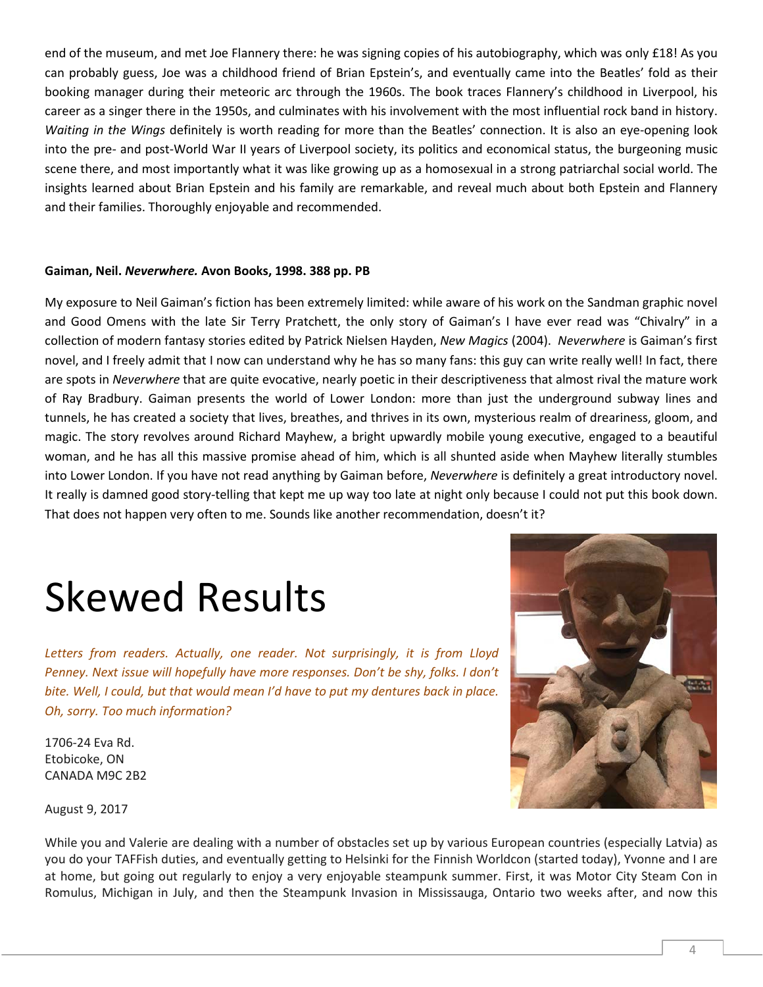end of the museum, and met Joe Flannery there: he was signing copies of his autobiography, which was only £18! As you can probably guess, Joe was a childhood friend of Brian Epstein's, and eventually came into the Beatles' fold as their booking manager during their meteoric arc through the 1960s. The book traces Flannery's childhood in Liverpool, his career as a singer there in the 1950s, and culminates with his involvement with the most influential rock band in history. *Waiting in the Wings* definitely is worth reading for more than the Beatles' connection. It is also an eye-opening look into the pre- and post-World War II years of Liverpool society, its politics and economical status, the burgeoning music scene there, and most importantly what it was like growing up as a homosexual in a strong patriarchal social world. The insights learned about Brian Epstein and his family are remarkable, and reveal much about both Epstein and Flannery and their families. Thoroughly enjoyable and recommended.

#### **Gaiman, Neil.** *Neverwhere.* **Avon Books, 1998. 388 pp. PB**

My exposure to Neil Gaiman's fiction has been extremely limited: while aware of his work on the Sandman graphic novel and Good Omens with the late Sir Terry Pratchett, the only story of Gaiman's I have ever read was "Chivalry" in a collection of modern fantasy stories edited by Patrick Nielsen Hayden, *New Magics* (2004). *Neverwhere* is Gaiman's first novel, and I freely admit that I now can understand why he has so many fans: this guy can write really well! In fact, there are spots in *Neverwhere* that are quite evocative, nearly poetic in their descriptiveness that almost rival the mature work of Ray Bradbury. Gaiman presents the world of Lower London: more than just the underground subway lines and tunnels, he has created a society that lives, breathes, and thrives in its own, mysterious realm of dreariness, gloom, and magic. The story revolves around Richard Mayhew, a bright upwardly mobile young executive, engaged to a beautiful woman, and he has all this massive promise ahead of him, which is all shunted aside when Mayhew literally stumbles into Lower London. If you have not read anything by Gaiman before, *Neverwhere* is definitely a great introductory novel. It really is damned good story-telling that kept me up way too late at night only because I could not put this book down. That does not happen very often to me. Sounds like another recommendation, doesn't it?

# Skewed Results

*Letters from readers. Actually, one reader. Not surprisingly, it is from Lloyd Penney. Next issue will hopefully have more responses. Don't be shy, folks. I don't bite. Well, I could, but that would mean I'd have to put my dentures back in place. Oh, sorry. Too much information?*

1706-24 Eva Rd. Etobicoke, ON CANADA M9C 2B2



August 9, 2017

While you and Valerie are dealing with a number of obstacles set up by various European countries (especially Latvia) as you do your TAFFish duties, and eventually getting to Helsinki for the Finnish Worldcon (started today), Yvonne and I are at home, but going out regularly to enjoy a very enjoyable steampunk summer. First, it was Motor City Steam Con in Romulus, Michigan in July, and then the Steampunk Invasion in Mississauga, Ontario two weeks after, and now this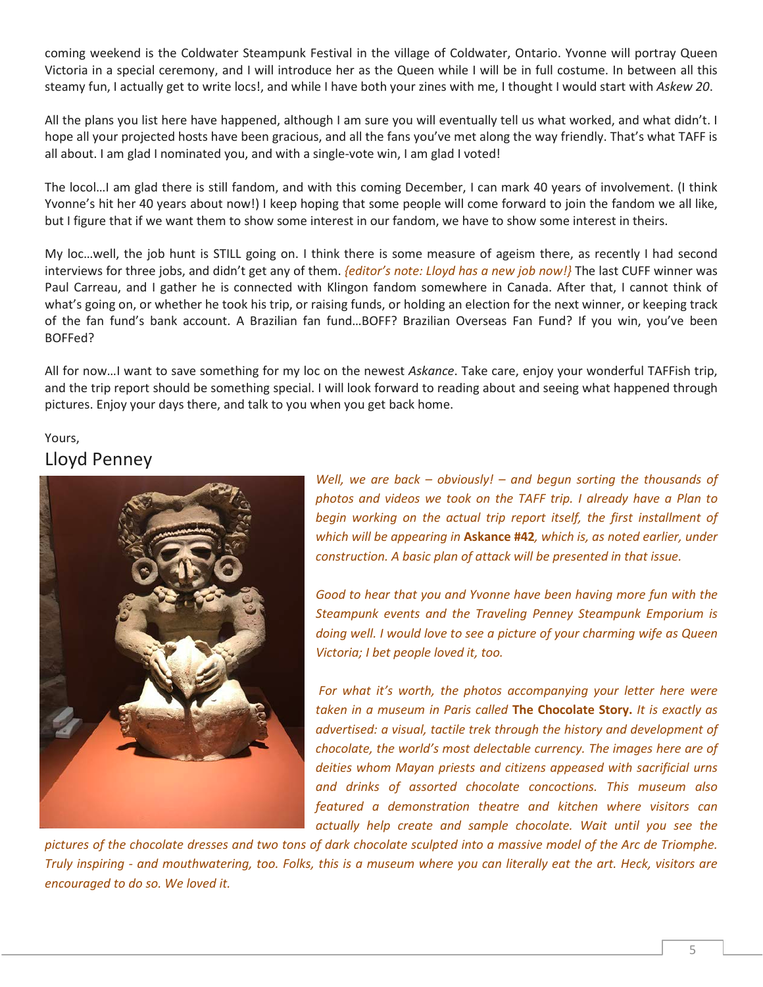coming weekend is the Coldwater Steampunk Festival in the village of Coldwater, Ontario. Yvonne will portray Queen Victoria in a special ceremony, and I will introduce her as the Queen while I will be in full costume. In between all this steamy fun, I actually get to write locs!, and while I have both your zines with me, I thought I would start with *Askew 20*.

All the plans you list here have happened, although I am sure you will eventually tell us what worked, and what didn't. I hope all your projected hosts have been gracious, and all the fans you've met along the way friendly. That's what TAFF is all about. I am glad I nominated you, and with a single-vote win, I am glad I voted!

The locol…I am glad there is still fandom, and with this coming December, I can mark 40 years of involvement. (I think Yvonne's hit her 40 years about now!) I keep hoping that some people will come forward to join the fandom we all like, but I figure that if we want them to show some interest in our fandom, we have to show some interest in theirs.

My loc…well, the job hunt is STILL going on. I think there is some measure of ageism there, as recently I had second interviews for three jobs, and didn't get any of them. *{editor's note: Lloyd has a new job now!}* The last CUFF winner was Paul Carreau, and I gather he is connected with Klingon fandom somewhere in Canada. After that, I cannot think of what's going on, or whether he took his trip, or raising funds, or holding an election for the next winner, or keeping track of the fan fund's bank account. A Brazilian fan fund…BOFF? Brazilian Overseas Fan Fund? If you win, you've been BOFFed?

All for now…I want to save something for my loc on the newest *Askance*. Take care, enjoy your wonderful TAFFish trip, and the trip report should be something special. I will look forward to reading about and seeing what happened through pictures. Enjoy your days there, and talk to you when you get back home.

## Yours, Lloyd Penney



*Well, we are back – obviously! – and begun sorting the thousands of photos and videos we took on the TAFF trip. I already have a Plan to begin working on the actual trip report itself, the first installment of which will be appearing in* **Askance #42***, which is, as noted earlier, under construction. A basic plan of attack will be presented in that issue.* 

*Good to hear that you and Yvonne have been having more fun with the Steampunk events and the Traveling Penney Steampunk Emporium is doing well. I would love to see a picture of your charming wife as Queen Victoria; I bet people loved it, too.*

*For what it's worth, the photos accompanying your letter here were taken in a museum in Paris called* **The Chocolate Story.** *It is exactly as advertised: a visual, tactile trek through the history and development of chocolate, the world's most delectable currency. The images here are of deities whom Mayan priests and citizens appeased with sacrificial urns and drinks of assorted chocolate concoctions. This museum also featured a demonstration theatre and kitchen where visitors can actually help create and sample chocolate. Wait until you see the* 

*pictures of the chocolate dresses and two tons of dark chocolate sculpted into a massive model of the Arc de Triomphe. Truly inspiring - and mouthwatering, too. Folks, this is a museum where you can literally eat the art. Heck, visitors are encouraged to do so. We loved it.*